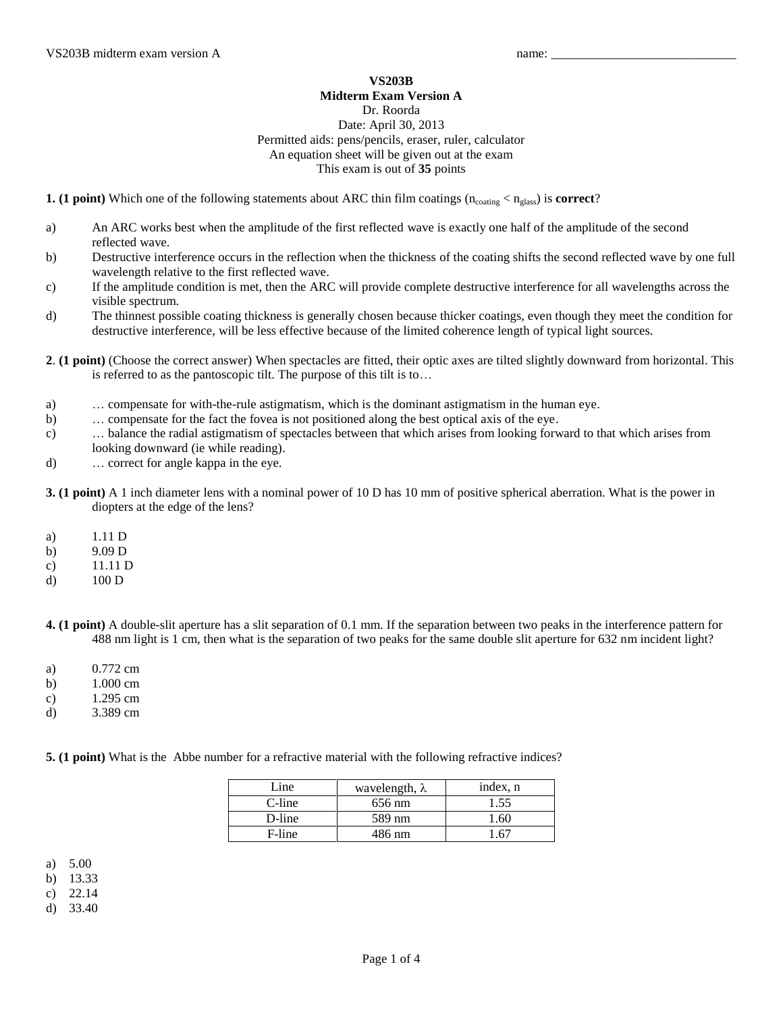## **VS203B Midterm Exam Version A**

## Dr. Roorda

## Date: April 30, 2013 Permitted aids: pens/pencils, eraser, ruler, calculator An equation sheet will be given out at the exam This exam is out of **35** points

**1.** (1 point) Which one of the following statements about ARC thin film coatings  $(n_{\text{coating}} < n_{\text{glass}})$  is **correct**?

- a) An ARC works best when the amplitude of the first reflected wave is exactly one half of the amplitude of the second reflected wave.
- b) Destructive interference occurs in the reflection when the thickness of the coating shifts the second reflected wave by one full wavelength relative to the first reflected wave.
- c) If the amplitude condition is met, then the ARC will provide complete destructive interference for all wavelengths across the visible spectrum.
- d) The thinnest possible coating thickness is generally chosen because thicker coatings, even though they meet the condition for destructive interference, will be less effective because of the limited coherence length of typical light sources.
- **2**. **(1 point)** (Choose the correct answer) When spectacles are fitted, their optic axes are tilted slightly downward from horizontal. This is referred to as the pantoscopic tilt. The purpose of this tilt is to…
- a) … compensate for with-the-rule astigmatism, which is the dominant astigmatism in the human eye.
- b) … compensate for the fact the fovea is not positioned along the best optical axis of the eye.
- c) … balance the radial astigmatism of spectacles between that which arises from looking forward to that which arises from looking downward (ie while reading).
- d) … correct for angle kappa in the eye.
- **3. (1 point)** A 1 inch diameter lens with a nominal power of 10 D has 10 mm of positive spherical aberration. What is the power in diopters at the edge of the lens?
- a) 1.11 D
- b) 9.09 D
- c) 11.11 D
- d) 100 D
- **4. (1 point)** A double-slit aperture has a slit separation of 0.1 mm. If the separation between two peaks in the interference pattern for 488 nm light is 1 cm, then what is the separation of two peaks for the same double slit aperture for 632 nm incident light?
- a) 0.772 cm
- b) 1.000 cm
- c) 1.295 cm
- d) 3.389 cm

**5. (1 point)** What is the Abbe number for a refractive material with the following refractive indices?

| Line   | wavelength, $\lambda$ | index, n |
|--------|-----------------------|----------|
| C-line | 656 nm                | 1.55     |
| D-line | 589 nm                | .60      |
| F-line | 486 nm                | 61       |

a) 5.00

b) 13.33

c) 22.14

d) 33.40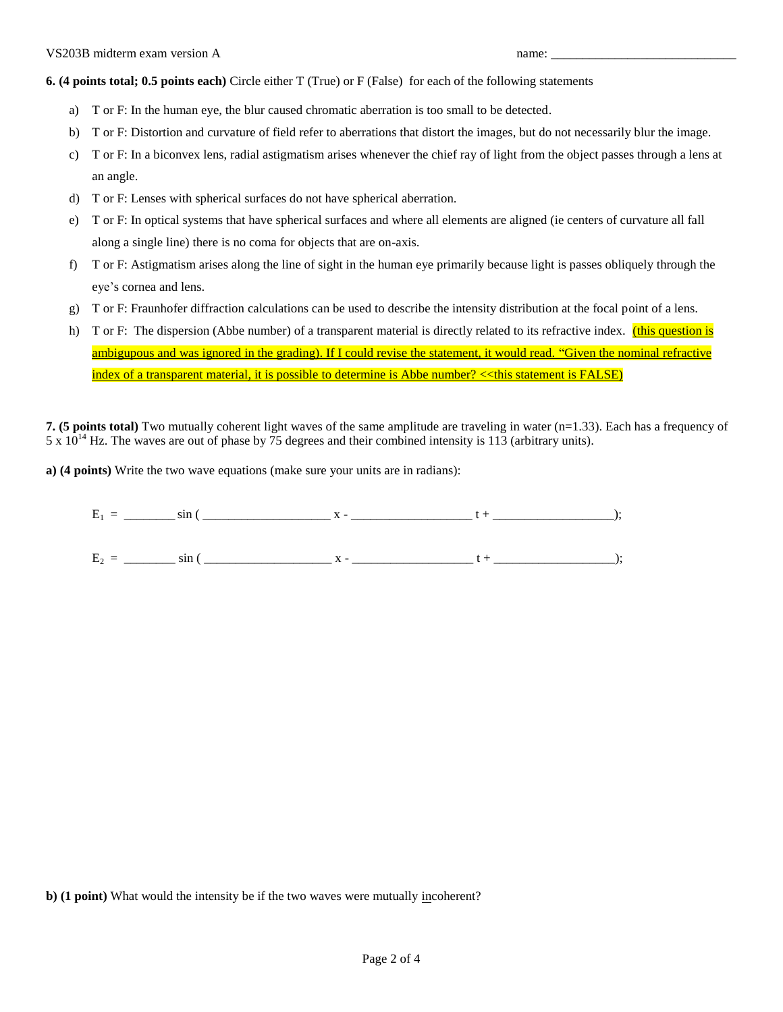**6. (4 points total; 0.5 points each)** Circle either T (True) or F (False) for each of the following statements

- a) T or F: In the human eye, the blur caused chromatic aberration is too small to be detected.
- b) T or F: Distortion and curvature of field refer to aberrations that distort the images, but do not necessarily blur the image.
- c) T or F: In a biconvex lens, radial astigmatism arises whenever the chief ray of light from the object passes through a lens at an angle.
- d) T or F: Lenses with spherical surfaces do not have spherical aberration.
- e) T or F: In optical systems that have spherical surfaces and where all elements are aligned (ie centers of curvature all fall along a single line) there is no coma for objects that are on-axis.
- f) T or F: Astigmatism arises along the line of sight in the human eye primarily because light is passes obliquely through the eye's cornea and lens.
- g) T or F: Fraunhofer diffraction calculations can be used to describe the intensity distribution at the focal point of a lens.
- h) T or F: The dispersion (Abbe number) of a transparent material is directly related to its refractive index. (this question is ambigupous and was ignored in the grading). If I could revise the statement, it would read. "Given the nominal refractive index of a transparent material, it is possible to determine is Abbe number? << this statement is FALSE)

**7. (5 points total)** Two mutually coherent light waves of the same amplitude are traveling in water (n=1.33). Each has a frequency of  $5 \times 10^{14}$  Hz. The waves are out of phase by 75 degrees and their combined intensity is 113 (arbitrary units).

**a) (4 points)** Write the two wave equations (make sure your units are in radians):

| --<br>∸<br>. |
|--------------|
|--------------|

E2 = \_\_\_\_\_\_\_\_ sin ( \_\_\_\_\_\_\_\_\_\_\_\_\_\_\_\_\_\_\_\_ x - \_\_\_\_\_\_\_\_\_\_\_\_\_\_\_\_\_\_\_ t + \_\_\_\_\_\_\_\_\_\_\_\_\_\_\_\_\_\_\_);

**b) (1 point)** What would the intensity be if the two waves were mutually incoherent?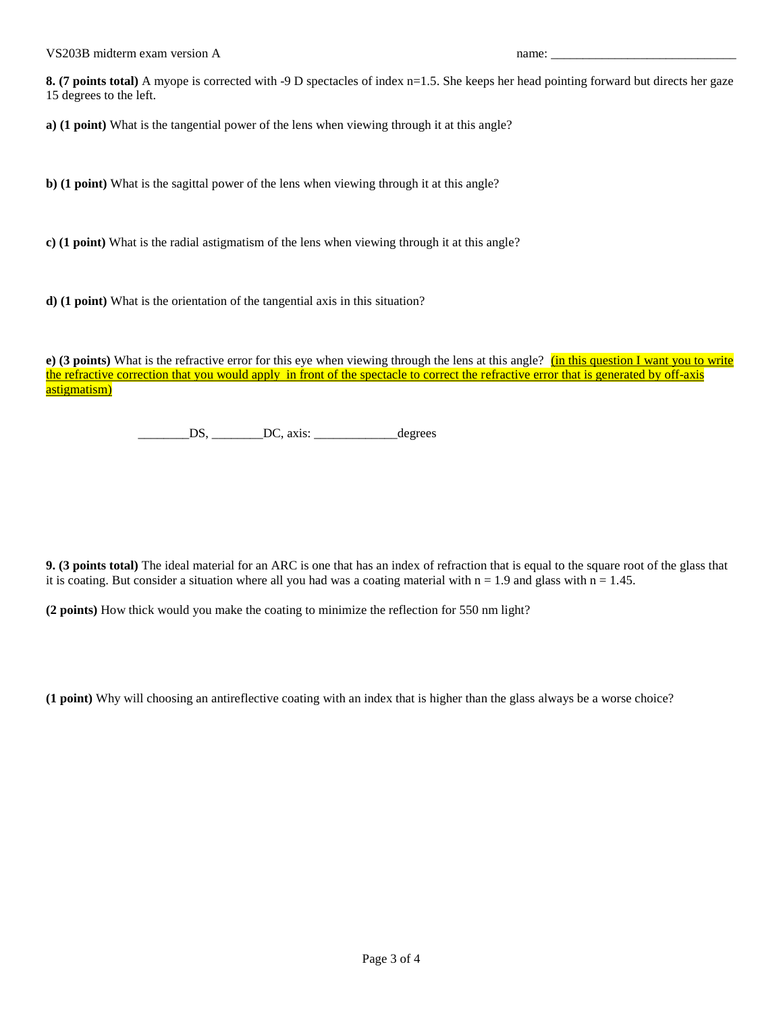**8. (7 points total)** A myope is corrected with -9 D spectacles of index n=1.5. She keeps her head pointing forward but directs her gaze 15 degrees to the left.

**a) (1 point)** What is the tangential power of the lens when viewing through it at this angle?

**b) (1 point)** What is the sagittal power of the lens when viewing through it at this angle?

**c) (1 point)** What is the radial astigmatism of the lens when viewing through it at this angle?

**d) (1 point)** What is the orientation of the tangential axis in this situation?

**e) (3 points)** What is the refractive error for this eye when viewing through the lens at this angle? **(in this question I want you to write** the refractive correction that you would apply in front of the spectacle to correct the refractive error that is generated by off-axis astigmatism)

\_\_\_\_\_\_\_\_DS, \_\_\_\_\_\_\_\_DC, axis: \_\_\_\_\_\_\_\_\_\_\_\_\_degrees

**9. (3 points total)** The ideal material for an ARC is one that has an index of refraction that is equal to the square root of the glass that it is coating. But consider a situation where all you had was a coating material with  $n = 1.9$  and glass with  $n = 1.45$ .

**(2 points)** How thick would you make the coating to minimize the reflection for 550 nm light?

**(1 point)** Why will choosing an antireflective coating with an index that is higher than the glass always be a worse choice?